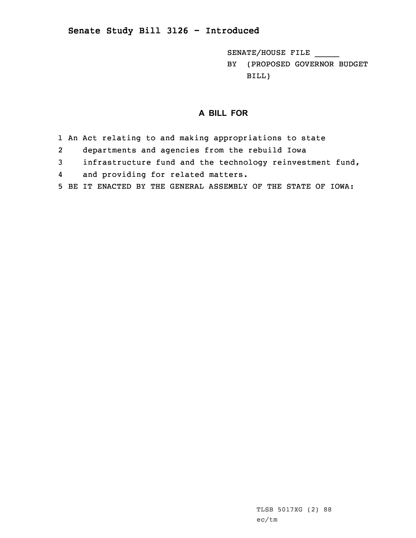## **Senate Study Bill 3126 - Introduced**

SENATE/HOUSE FILE \_\_\_\_\_

BY (PROPOSED GOVERNOR BUDGET BILL)

## **A BILL FOR**

- 1 An Act relating to and making appropriations to state
- 2departments and agencies from the rebuild Iowa
- 3 infrastructure fund and the technology reinvestment fund,
- 4and providing for related matters.
- 5 BE IT ENACTED BY THE GENERAL ASSEMBLY OF THE STATE OF IOWA: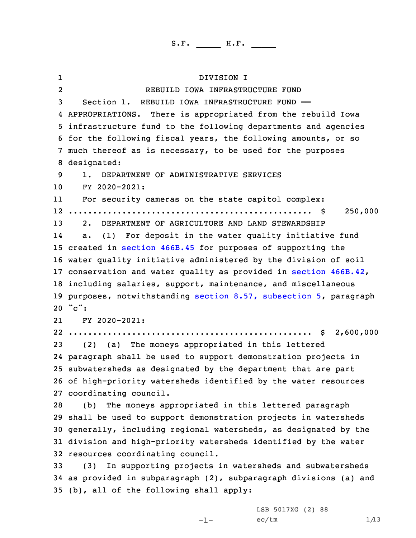1 DIVISION I 2 REBUILD IOWA INFRASTRUCTURE FUND Section 1. REBUILD IOWA INFRASTRUCTURE FUND —— APPROPRIATIONS. There is appropriated from the rebuild Iowa infrastructure fund to the following departments and agencies for the following fiscal years, the following amounts, or so much thereof as is necessary, to be used for the purposes designated: 1. DEPARTMENT OF ADMINISTRATIVE SERVICES FY 2020-2021: 11 For security cameras on the state capitol complex: .................................................. \$ 250,000 2. DEPARTMENT OF AGRICULTURE AND LAND STEWARDSHIP 14 a. (1) For deposit in the water quality initiative fund created in [section](https://www.legis.iowa.gov/docs/code/2020/466B.45.pdf) 466B.45 for purposes of supporting the water quality initiative administered by the division of soil conservation and water quality as provided in section [466B.42](https://www.legis.iowa.gov/docs/code/2020/466B.42.pdf), including salaries, support, maintenance, and miscellaneous purposes, notwithstanding section 8.57, [subsection](https://www.legis.iowa.gov/docs/code/2020/8.57.pdf) 5, paragraph 20 "c": 21 FY 2020-2021: .................................................. \$ 2,600,000 (2) (a) The moneys appropriated in this lettered paragraph shall be used to support demonstration projects in subwatersheds as designated by the department that are part of high-priority watersheds identified by the water resources coordinating council. (b) The moneys appropriated in this lettered paragraph shall be used to support demonstration projects in watersheds generally, including regional watersheds, as designated by the division and high-priority watersheds identified by the water resources coordinating council. (3) In supporting projects in watersheds and subwatersheds as provided in subparagraph (2), subparagraph divisions (a) and

-1-

35 (b), all of the following shall apply:

LSB 5017XG (2) 88  $ec/tm$   $1/13$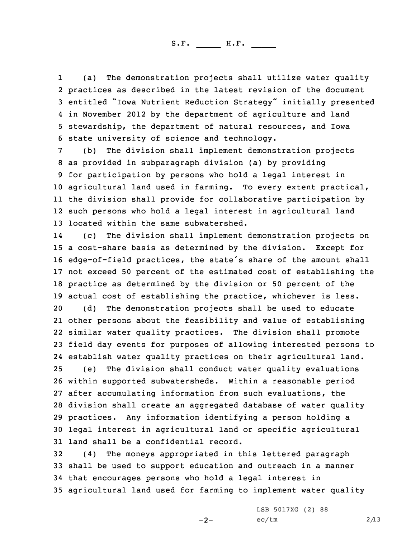1 (a) The demonstration projects shall utilize water quality practices as described in the latest revision of the document entitled "Iowa Nutrient Reduction Strategy" initially presented in November 2012 by the department of agriculture and land stewardship, the department of natural resources, and Iowa state university of science and technology.

 (b) The division shall implement demonstration projects as provided in subparagraph division (a) by providing for participation by persons who hold <sup>a</sup> legal interest in agricultural land used in farming. To every extent practical, the division shall provide for collaborative participation by such persons who hold <sup>a</sup> legal interest in agricultural land located within the same subwatershed.

14 (c) The division shall implement demonstration projects on <sup>a</sup> cost-share basis as determined by the division. Except for edge-of-field practices, the state's share of the amount shall not exceed 50 percent of the estimated cost of establishing the practice as determined by the division or 50 percent of the actual cost of establishing the practice, whichever is less.

 (d) The demonstration projects shall be used to educate other persons about the feasibility and value of establishing similar water quality practices. The division shall promote field day events for purposes of allowing interested persons to establish water quality practices on their agricultural land. (e) The division shall conduct water quality evaluations within supported subwatersheds. Within <sup>a</sup> reasonable period after accumulating information from such evaluations, the division shall create an aggregated database of water quality practices. Any information identifying <sup>a</sup> person holding <sup>a</sup> legal interest in agricultural land or specific agricultural land shall be <sup>a</sup> confidential record.

 (4) The moneys appropriated in this lettered paragraph shall be used to support education and outreach in <sup>a</sup> manner that encourages persons who hold <sup>a</sup> legal interest in agricultural land used for farming to implement water quality

 $-2-$ 

LSB 5017XG (2) 88  $ec/tm$  2/13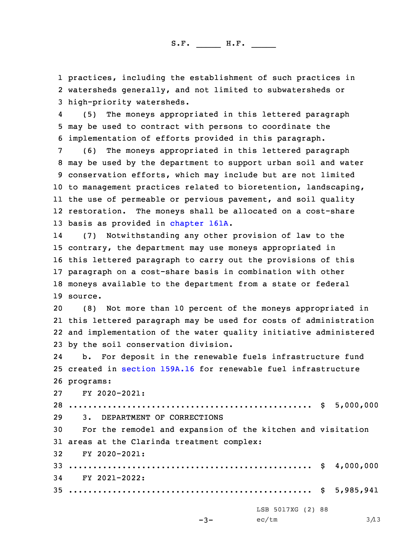1 practices, including the establishment of such practices in 2 watersheds generally, and not limited to subwatersheds or 3 high-priority watersheds.

4 (5) The moneys appropriated in this lettered paragraph 5 may be used to contract with persons to coordinate the 6 implementation of efforts provided in this paragraph.

 (6) The moneys appropriated in this lettered paragraph may be used by the department to support urban soil and water conservation efforts, which may include but are not limited to management practices related to bioretention, landscaping, the use of permeable or pervious pavement, and soil quality restoration. The moneys shall be allocated on <sup>a</sup> cost-share basis as provided in [chapter](https://www.legis.iowa.gov/docs/code/2020/161A.pdf) 161A.

14 (7) Notwithstanding any other provision of law to the 15 contrary, the department may use moneys appropriated in 16 this lettered paragraph to carry out the provisions of this 17 paragraph on <sup>a</sup> cost-share basis in combination with other 18 moneys available to the department from <sup>a</sup> state or federal 19 source.

 (8) Not more than 10 percent of the moneys appropriated in this lettered paragraph may be used for costs of administration and implementation of the water quality initiative administered by the soil conservation division.

24 b. For deposit in the renewable fuels infrastructure fund 25 created in [section](https://www.legis.iowa.gov/docs/code/2020/159A.16.pdf) 159A.16 for renewable fuel infrastructure 26 programs:

27 FY 2020-2021:

 .................................................. \$ 5,000,000 3. DEPARTMENT OF CORRECTIONS For the remodel and expansion of the kitchen and visitation areas at the Clarinda treatment complex: FY 2020-2021: .................................................. \$ 4,000,000 FY 2021-2022: .................................................. \$ 5,985,941 LSB 5017XG (2) 88

```
-3-
```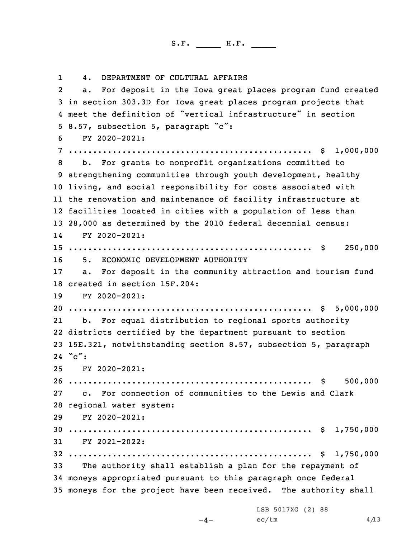1 4. DEPARTMENT OF CULTURAL AFFAIRS 2 a. For deposit in the Iowa great places program fund created in section 303.3D for Iowa great places program projects that meet the definition of "vertical infrastructure" in section 8.57, subsection 5, paragraph "c": FY 2020-2021: .................................................. \$ 1,000,000 b. For grants to nonprofit organizations committed to strengthening communities through youth development, healthy living, and social responsibility for costs associated with the renovation and maintenance of facility infrastructure at facilities located in cities with <sup>a</sup> population of less than 28,000 as determined by the 2010 federal decennial census: 14 FY 2020-2021: .................................................. \$ 250,000 5. ECONOMIC DEVELOPMENT AUTHORITY a. For deposit in the community attraction and tourism fund created in section 15F.204: FY 2020-2021: .................................................. \$ 5,000,000 21 b. For equal distribution to regional sports authority districts certified by the department pursuant to section 15E.321, notwithstanding section 8.57, subsection 5, paragraph 24 "c": FY 2020-2021: .................................................. \$ 500,000 c. For connection of communities to the Lewis and Clark regional water system: FY 2020-2021: .................................................. \$ 1,750,000 FY 2021-2022: .................................................. \$ 1,750,000 The authority shall establish <sup>a</sup> plan for the repayment of moneys appropriated pursuant to this paragraph once federal moneys for the project have been received. The authority shall

LSB 5017XG (2) 88

 $-4-$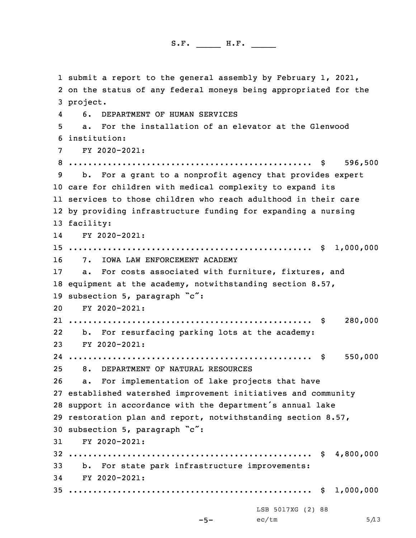submit <sup>a</sup> report to the general assembly by February 1, 2021, on the status of any federal moneys being appropriated for the 3 project. 4 6. DEPARTMENT OF HUMAN SERVICES a. For the installation of an elevator at the Glenwood institution: FY 2020-2021: .................................................. \$ 596,500 b. For <sup>a</sup> grant to <sup>a</sup> nonprofit agency that provides expert care for children with medical complexity to expand its services to those children who reach adulthood in their care by providing infrastructure funding for expanding <sup>a</sup> nursing facility: 14 FY 2020-2021: .................................................. \$ 1,000,000 7. IOWA LAW ENFORCEMENT ACADEMY a. For costs associated with furniture, fixtures, and equipment at the academy, notwithstanding section 8.57, 19 subsection 5, paragraph "c": FY 2020-2021: .................................................. \$ 280,000 22 b. For resurfacing parking lots at the academy: FY 2020-2021: .................................................. \$ 550,000 8. DEPARTMENT OF NATURAL RESOURCES a. For implementation of lake projects that have established watershed improvement initiatives and community support in accordance with the department's annual lake restoration plan and report, notwithstanding section 8.57, subsection 5, paragraph "c": FY 2020-2021: .................................................. \$ 4,800,000 b. For state park infrastructure improvements: FY 2020-2021: .................................................. \$ 1,000,000 -5- LSB 5017XG (2) 88  $ec/tm$  5/13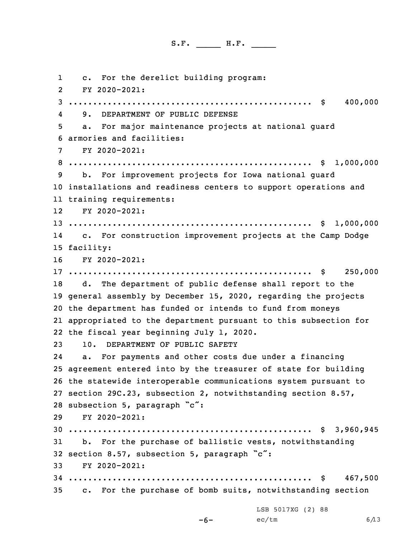1 c. For the derelict building program: 2 FY 2020-2021: .................................................. \$ 400,000 4 9. DEPARTMENT OF PUBLIC DEFENSE a. For major maintenance projects at national guard armories and facilities: FY 2020-2021: .................................................. \$ 1,000,000 b. For improvement projects for Iowa national guard installations and readiness centers to support operations and training requirements: FY 2020-2021: .................................................. \$ 1,000,000 14 c. For construction improvement projects at the Camp Dodge facility: FY 2020-2021: .................................................. \$ 250,000 d. The department of public defense shall report to the general assembly by December 15, 2020, regarding the projects the department has funded or intends to fund from moneys appropriated to the department pursuant to this subsection for the fiscal year beginning July 1, 2020. 10. DEPARTMENT OF PUBLIC SAFETY 24 a. For payments and other costs due under <sup>a</sup> financing agreement entered into by the treasurer of state for building the statewide interoperable communications system pursuant to section 29C.23, subsection 2, notwithstanding section 8.57, subsection 5, paragraph "c": FY 2020-2021: .................................................. \$ 3,960,945 b. For the purchase of ballistic vests, notwithstanding section 8.57, subsection 5, paragraph "c": FY 2020-2021: .................................................. \$ 467,500 c. For the purchase of bomb suits, notwithstanding section

LSB 5017XG (2) 88  $ec/tm$  6/13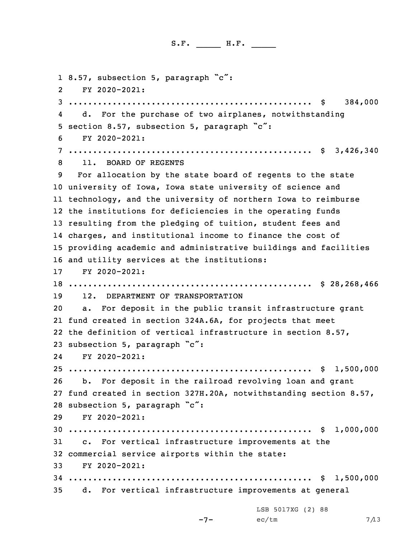1 8.57, subsection 5, paragraph "c": 2 FY 2020-2021: .................................................. \$ 384,000 4 d. For the purchase of two airplanes, notwithstanding section 8.57, subsection 5, paragraph "c": FY 2020-2021: .................................................. \$ 3,426,340 11. BOARD OF REGENTS For allocation by the state board of regents to the state university of Iowa, Iowa state university of science and technology, and the university of northern Iowa to reimburse the institutions for deficiencies in the operating funds resulting from the pledging of tuition, student fees and charges, and institutional income to finance the cost of providing academic and administrative buildings and facilities and utility services at the institutions: FY 2020-2021: .................................................. \$ 28,268,466 12. DEPARTMENT OF TRANSPORTATION a. For deposit in the public transit infrastructure grant fund created in section 324A.6A, for projects that meet the definition of vertical infrastructure in section 8.57, subsection 5, paragraph "c": FY 2020-2021: .................................................. \$ 1,500,000 b. For deposit in the railroad revolving loan and grant fund created in section 327H.20A, notwithstanding section 8.57, subsection 5, paragraph "c": FY 2020-2021: .................................................. \$ 1,000,000 c. For vertical infrastructure improvements at the commercial service airports within the state: FY 2020-2021: .................................................. \$ 1,500,000 d. For vertical infrastructure improvements at general

LSB 5017XG (2) 88

```
-7-
```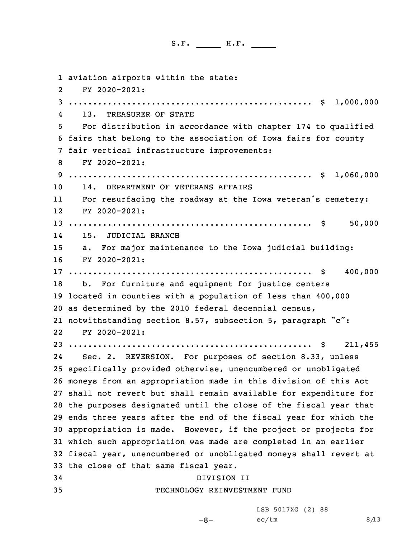aviation airports within the state: 2 FY 2020-2021: .................................................. \$ 1,000,000 4 13. TREASURER OF STATE For distribution in accordance with chapter 174 to qualified fairs that belong to the association of Iowa fairs for county fair vertical infrastructure improvements: FY 2020-2021: .................................................. \$ 1,060,000 14. DEPARTMENT OF VETERANS AFFAIRS 11 For resurfacing the roadway at the Iowa veteran's cemetery: FY 2020-2021: .................................................. \$ 50,000 14 15. JUDICIAL BRANCH a. For major maintenance to the Iowa judicial building: FY 2020-2021: .................................................. \$ 400,000 b. For furniture and equipment for justice centers located in counties with <sup>a</sup> population of less than 400,000 as determined by the 2010 federal decennial census, notwithstanding section 8.57, subsection 5, paragraph "c": 22 FY 2020-2021: .................................................. \$ 211,455 24 Sec. 2. REVERSION. For purposes of section 8.33, unless specifically provided otherwise, unencumbered or unobligated moneys from an appropriation made in this division of this Act shall not revert but shall remain available for expenditure for the purposes designated until the close of the fiscal year that ends three years after the end of the fiscal year for which the appropriation is made. However, if the project or projects for which such appropriation was made are completed in an earlier fiscal year, unencumbered or unobligated moneys shall revert at the close of that same fiscal year. DIVISION II TECHNOLOGY REINVESTMENT FUND

LSB 5017XG (2) 88

-8-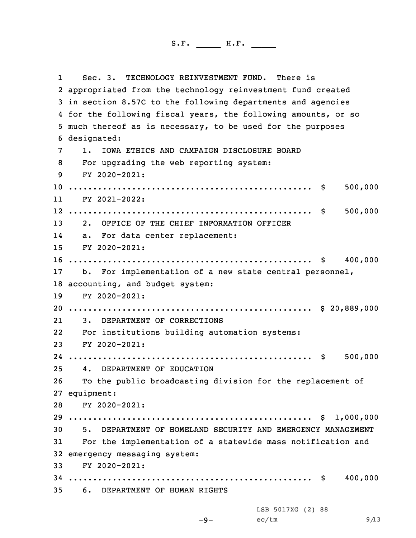1 Sec. 3. TECHNOLOGY REINVESTMENT FUND. There is appropriated from the technology reinvestment fund created in section 8.57C to the following departments and agencies for the following fiscal years, the following amounts, or so much thereof as is necessary, to be used for the purposes designated: 1. IOWA ETHICS AND CAMPAIGN DISCLOSURE BOARD For upgrading the web reporting system: FY 2020-2021: .................................................. \$ 500,000 11 FY 2021-2022: .................................................. \$ 500,000 2. OFFICE OF THE CHIEF INFORMATION OFFICER 14 a. For data center replacement: FY 2020-2021: .................................................. \$ 400,000 b. For implementation of <sup>a</sup> new state central personnel, accounting, and budget system: FY 2020-2021: .................................................. \$ 20,889,000 21 3. DEPARTMENT OF CORRECTIONS For institutions building automation systems: FY 2020-2021: .................................................. \$ 500,000 4. DEPARTMENT OF EDUCATION To the public broadcasting division for the replacement of equipment: FY 2020-2021: .................................................. \$ 1,000,000 5. DEPARTMENT OF HOMELAND SECURITY AND EMERGENCY MANAGEMENT For the implementation of <sup>a</sup> statewide mass notification and emergency messaging system: FY 2020-2021: .................................................. \$ 400,000 6. DEPARTMENT OF HUMAN RIGHTS

LSB 5017XG (2) 88

$$
-9-
$$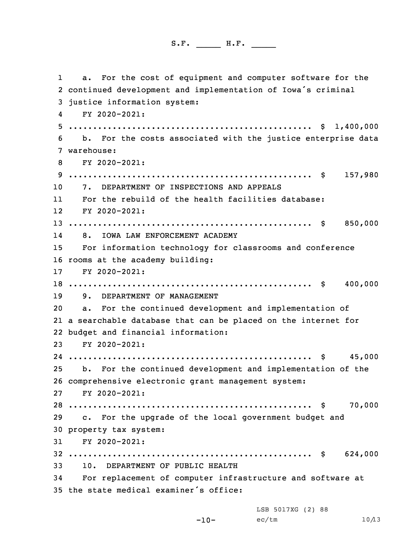1 a. For the cost of equipment and computer software for the continued development and implementation of Iowa's criminal justice information system: 4 FY 2020-2021: .................................................. \$ 1,400,000 b. For the costs associated with the justice enterprise data warehouse: FY 2020-2021: .................................................. \$ 157,980 7. DEPARTMENT OF INSPECTIONS AND APPEALS 11 For the rebuild of the health facilities database: FY 2020-2021: .................................................. \$ 850,000 14 8. IOWA LAW ENFORCEMENT ACADEMY For information technology for classrooms and conference rooms at the academy building: FY 2020-2021: .................................................. \$ 400,000 9. DEPARTMENT OF MANAGEMENT a. For the continued development and implementation of <sup>a</sup> searchable database that can be placed on the internet for budget and financial information: FY 2020-2021: .................................................. \$ 45,000 b. For the continued development and implementation of the comprehensive electronic grant management system: FY 2020-2021: .................................................. \$ 70,000 c. For the upgrade of the local government budget and property tax system: FY 2020-2021: .................................................. \$ 624,000 10. DEPARTMENT OF PUBLIC HEALTH For replacement of computer infrastructure and software at the state medical examiner's office:

LSB 5017XG (2) 88

 $ec/tm$  10/13

```
-10-
```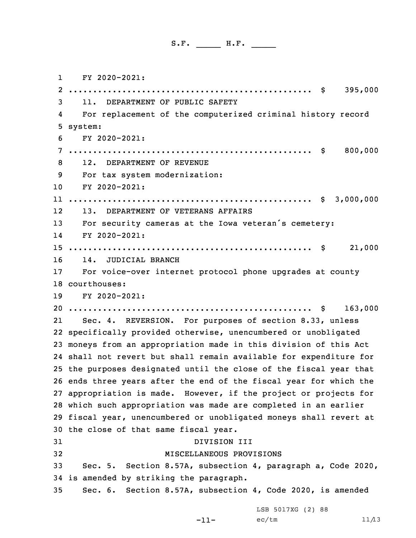1 FY 2020-2021: .................................................. \$ 395,000 11. DEPARTMENT OF PUBLIC SAFETY 4 For replacement of the computerized criminal history record 5 system: FY 2020-2021: .................................................. \$ 800,000 12. DEPARTMENT OF REVENUE For tax system modernization: FY 2020-2021: .................................................. \$ 3,000,000 12 13. DEPARTMENT OF VETERANS AFFAIRS For security cameras at the Iowa veteran's cemetery: 14 FY 2020-2021: .................................................. \$ 21,000 14. JUDICIAL BRANCH For voice-over internet protocol phone upgrades at county courthouses: FY 2020-2021: .................................................. \$ 163,000 21 Sec. 4. REVERSION. For purposes of section 8.33, unless specifically provided otherwise, unencumbered or unobligated moneys from an appropriation made in this division of this Act shall not revert but shall remain available for expenditure for the purposes designated until the close of the fiscal year that ends three years after the end of the fiscal year for which the appropriation is made. However, if the project or projects for which such appropriation was made are completed in an earlier fiscal year, unencumbered or unobligated moneys shall revert at the close of that same fiscal year. DIVISION III MISCELLANEOUS PROVISIONS Sec. 5. Section 8.57A, subsection 4, paragraph a, Code 2020, is amended by striking the paragraph. Sec. 6. Section 8.57A, subsection 4, Code 2020, is amended

LSB 5017XG (2) 88

```
-11-
```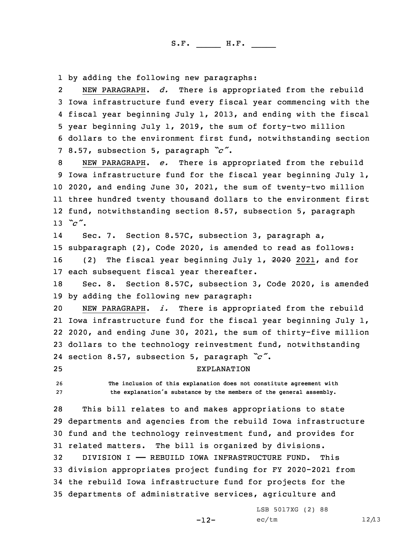1 by adding the following new paragraphs:

2 NEW PARAGRAPH. *d.* There is appropriated from the rebuild Iowa infrastructure fund every fiscal year commencing with the fiscal year beginning July 1, 2013, and ending with the fiscal year beginning July 1, 2019, the sum of forty-two million dollars to the environment first fund, notwithstanding section 8.57, subsection 5, paragraph *"c"*.

 NEW PARAGRAPH. *e.* There is appropriated from the rebuild Iowa infrastructure fund for the fiscal year beginning July 1, 2020, and ending June 30, 2021, the sum of twenty-two million three hundred twenty thousand dollars to the environment first fund, notwithstanding section 8.57, subsection 5, paragraph 13 *"c"*.

14 Sec. 7. Section 8.57C, subsection 3, paragraph a, 15 subparagraph (2), Code 2020, is amended to read as follows: 16 (2) The fiscal year beginning July 1, 2020 2021, and for 17 each subsequent fiscal year thereafter.

18 Sec. 8. Section 8.57C, subsection 3, Code 2020, is amended 19 by adding the following new paragraph:

 NEW PARAGRAPH. *i.* There is appropriated from the rebuild Iowa infrastructure fund for the fiscal year beginning July 1, 2020, and ending June 30, 2021, the sum of thirty-five million dollars to the technology reinvestment fund, notwithstanding section 8.57, subsection 5, paragraph *"c"*.

25 EXPLANATION

26 **The inclusion of this explanation does not constitute agreement with** <sup>27</sup> **the explanation's substance by the members of the general assembly.**

 This bill relates to and makes appropriations to state departments and agencies from the rebuild Iowa infrastructure fund and the technology reinvestment fund, and provides for related matters. The bill is organized by divisions. DIVISION I —— REBUILD IOWA INFRASTRUCTURE FUND. This division appropriates project funding for FY 2020-2021 from the rebuild Iowa infrastructure fund for projects for the departments of administrative services, agriculture and

 $-12-$ 

LSB 5017XG (2) 88  $ec/tm$  12/13